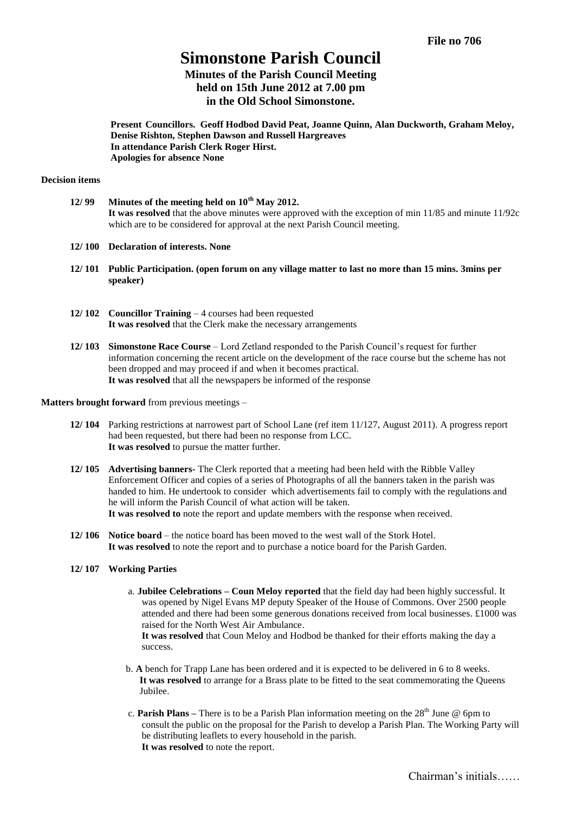**File no 706**

# **Simonstone Parish Council**

## **Minutes of the Parish Council Meeting held on 15th June 2012 at 7.00 pm in the Old School Simonstone.**

**Present Councillors. Geoff Hodbod David Peat, Joanne Quinn, Alan Duckworth, Graham Meloy, Denise Rishton, Stephen Dawson and Russell Hargreaves In attendance Parish Clerk Roger Hirst. Apologies for absence None**

### **Decision items**

- **12/ 99 Minutes of the meeting held on 10th May 2012. It was resolved** that the above minutes were approved with the exception of min 11/85 and minute 11/92c which are to be considered for approval at the next Parish Council meeting.
- **12/ 100 Declaration of interests. None**
- **12/ 101 Public Participation. (open forum on any village matter to last no more than 15 mins. 3mins per speaker)**
- **12/ 102 Councillor Training** 4 courses had been requested **It was resolved** that the Clerk make the necessary arrangements
- **12/ 103 Simonstone Race Course** Lord Zetland responded to the Parish Council's request for further information concerning the recent article on the development of the race course but the scheme has not been dropped and may proceed if and when it becomes practical. **It was resolved** that all the newspapers be informed of the response

## **Matters brought forward** from previous meetings –

- **12/ 104** Parking restrictions at narrowest part of School Lane (ref item 11/127, August 2011). A progress report had been requested, but there had been no response from LCC. **It was resolved** to pursue the matter further.
- **12/ 105 Advertising banners-** The Clerk reported that a meeting had been held with the Ribble Valley Enforcement Officer and copies of a series of Photographs of all the banners taken in the parish was handed to him. He undertook to consider which advertisements fail to comply with the regulations and he will inform the Parish Council of what action will be taken. **It was resolved to** note the report and update members with the response when received.
- **12/ 106 Notice board** the notice board has been moved to the west wall of the Stork Hotel. **It was resolved** to note the report and to purchase a notice board for the Parish Garden.
- **12/ 107 Working Parties**
	- a. **Jubilee Celebrations – Coun Meloy reported** that the field day had been highly successful. It was opened by Nigel Evans MP deputy Speaker of the House of Commons. Over 2500 people attended and there had been some generous donations received from local businesses. £1000 was raised for the North West Air Ambulance.

**It was resolved** that Coun Meloy and Hodbod be thanked for their efforts making the day a success.

- b. **A** bench for Trapp Lane has been ordered and it is expected to be delivered in 6 to 8 weeks. **It was resolved** to arrange for a Brass plate to be fitted to the seat commemorating the Queens Jubilee.
- c. **Parish Plans** There is to be a Parish Plan information meeting on the  $28<sup>th</sup>$  June  $\omega$  6pm to consult the public on the proposal for the Parish to develop a Parish Plan. The Working Party will be distributing leaflets to every household in the parish. **It was resolved** to note the report.

Chairman's initials……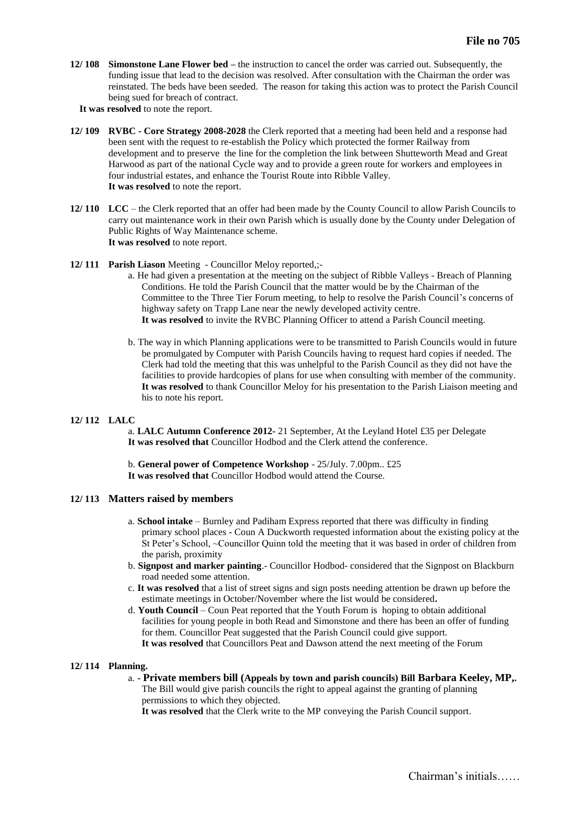- **12/ 108 Simonstone Lane Flower bed –** the instruction to cancel the order was carried out. Subsequently, the funding issue that lead to the decision was resolved. After consultation with the Chairman the order was reinstated. The beds have been seeded. The reason for taking this action was to protect the Parish Council being sued for breach of contract.
	- **It was resolved** to note the report.
- **12/ 109 RVBC - Core Strategy 2008-2028** the Clerk reported that a meeting had been held and a response had been sent with the request to re-establish the Policy which protected the former Railway from development and to preserve the line for the completion the link between Shutteworth Mead and Great Harwood as part of the national Cycle way and to provide a green route for workers and employees in four industrial estates, and enhance the Tourist Route into Ribble Valley. **It was resolved** to note the report.
- **12/ 110 LCC** the Clerk reported that an offer had been made by the County Council to allow Parish Councils to carry out maintenance work in their own Parish which is usually done by the County under Delegation of Public Rights of Way Maintenance scheme. **It was resolved** to note report.
- **12/ 111 Parish Liason** Meeting Councillor Meloy reported,;
	- a. He had given a presentation at the meeting on the subject of Ribble Valleys Breach of Planning Conditions. He told the Parish Council that the matter would be by the Chairman of the Committee to the Three Tier Forum meeting, to help to resolve the Parish Council's concerns of highway safety on Trapp Lane near the newly developed activity centre. **It was resolved** to invite the RVBC Planning Officer to attend a Parish Council meeting.
	- b. The way in which Planning applications were to be transmitted to Parish Councils would in future be promulgated by Computer with Parish Councils having to request hard copies if needed. The Clerk had told the meeting that this was unhelpful to the Parish Council as they did not have the facilities to provide hardcopies of plans for use when consulting with member of the community. **It was resolved** to thank Councillor Meloy for his presentation to the Parish Liaison meeting and his to note his report.

## **12/ 112 LALC**

a. **LALC Autumn Conference 2012-** 21 September, At the Leyland Hotel £35 per Delegate **It was resolved that** Councillor Hodbod and the Clerk attend the conference.

b. **General power of Competence Workshop** - 25/July. 7.00pm.. £25 **It was resolved that** Councillor Hodbod would attend the Course.

## **12/ 113 Matters raised by members**

- a. **School intake** Burnley and Padiham Express reported that there was difficulty in finding primary school places - Coun A Duckworth requested information about the existing policy at the St Peter's School, ~Councillor Quinn told the meeting that it was based in order of children from the parish, proximity
- b. **Signpost and marker painting**.- Councillor Hodbod- considered that the Signpost on Blackburn road needed some attention.
- c. **It was resolved** that a list of street signs and sign posts needing attention be drawn up before the estimate meetings in October/November where the list would be considered**.**
- d. **Youth Council** Coun Peat reported that the Youth Forum is hoping to obtain additional facilities for young people in both Read and Simonstone and there has been an offer of funding for them. Councillor Peat suggested that the Parish Council could give support. **It was resolved** that Councillors Peat and Dawson attend the next meeting of the Forum

## **12/ 114 Planning.**

#### a. **- Private members bill (Appeals by town and parish councils) Bill Barbara Keeley, MP,.** The Bill would give parish councils the right to appeal against the granting of planning

permissions to which they objected.

**It was resolved** that the Clerk write to the MP conveying the Parish Council support.